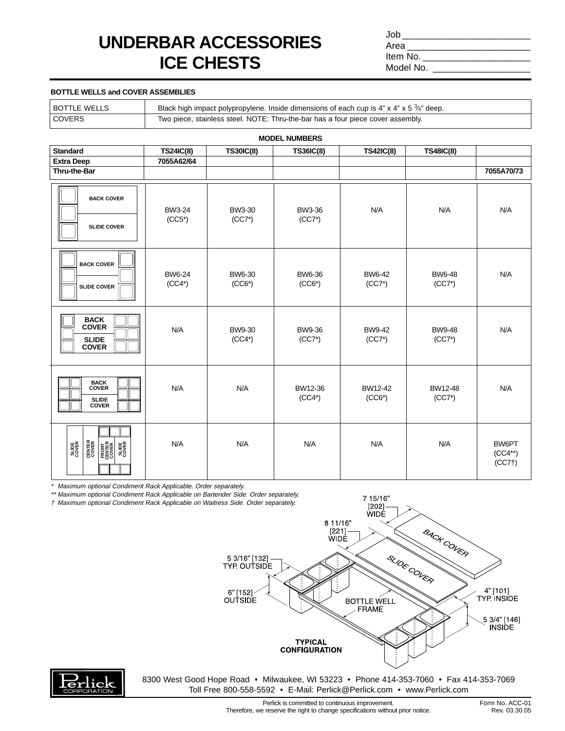## **UNDERBAR ACCESSORIES ICE CHESTS**

 $Job$ Area Item No. Model No. \_

## **BOTTLE WELLS and COVER ASSEMBLIES**

| <b>BOTTLE WELLS</b> | Black high impact polypropylene. Inside dimensions of each cup is 4" x 4" x 5 $\frac{3}{4}$ " deep. |
|---------------------|-----------------------------------------------------------------------------------------------------|
| COVERS              | Two piece, stainless steel. NOTE: Thru-the-bar has a four piece cover assembly.                     |

| <b>MODEL NUMBERS</b>                                                                |                           |                           |                           |                           |                           |                                   |  |  |  |
|-------------------------------------------------------------------------------------|---------------------------|---------------------------|---------------------------|---------------------------|---------------------------|-----------------------------------|--|--|--|
| <b>Standard</b>                                                                     | <b>TS24IC(8)</b>          | <b>TS30IC(8)</b>          | <b>TS36IC(8)</b>          | <b>TS42IC(8)</b>          | <b>TS48IC(8)</b>          |                                   |  |  |  |
| <b>Extra Deep</b>                                                                   | 7055A62/64                |                           |                           |                           |                           |                                   |  |  |  |
| Thru-the-Bar                                                                        |                           |                           |                           |                           |                           | 7055A70/73                        |  |  |  |
| <b>BACK COVER</b><br><b>SLIDE COVER</b>                                             | <b>BW3-24</b><br>$(CC5*)$ | BW3-30<br>$(CC7*)$        | BW3-36<br>$(CC7*)$        | N/A                       | N/A                       | N/A                               |  |  |  |
| <b>BACK COVER</b><br><b>SLIDE COVER</b>                                             | <b>BW6-24</b><br>$(CC4*)$ | <b>BW6-30</b><br>$(CCG*)$ | <b>BW6-36</b><br>$(CCG*)$ | <b>BW6-42</b><br>$(CC7*)$ | <b>BW6-48</b><br>$(CC7*)$ | N/A                               |  |  |  |
| <b>BACK</b><br><b>COVER</b><br><b>SLIDE</b><br><b>COVER</b>                         | N/A                       | <b>BW9-30</b><br>$(CC4*)$ | <b>BW9-36</b><br>$(CC7*)$ | <b>BW9-42</b><br>$(CC7*)$ | <b>BW9-48</b><br>$(CC7*)$ | N/A                               |  |  |  |
| <b>BACK<br/>COVER</b><br><b>SLIDE</b><br><b>COVER</b>                               | N/A                       | N/A                       | BW12-36<br>$(CC4*)$       | BW12-42<br>$(CCG*)$       | BW12-48<br>$(CC7*)$       | N/A                               |  |  |  |
| <b>CENTER</b><br>COVER<br><b>SLIDE</b><br>COVER<br>RONT<br>CENTER<br>COVER<br>COVER | N/A                       | N/A                       | N/A                       | N/A                       | N/A                       | BW6PT<br>$(CC4^{**})$<br>$(CC7+)$ |  |  |  |

\* Maximum optional Condiment Rack Applicable. Order separately.

\*\* Maximum optional Condiment Rack Applicable on Bartender Side. Order separately.

† Maximum optional Condiment Rack Applicable on Waitress Side. Order separately.



7 15/16"



8300 West Good Hope Road • Milwaukee, WI 53223 • Phone 414-353-7060 • Fax 414-353-7069 Toll Free 800-558-5592 • E-Mail: Perlick@Perlick.com • www.Perlick.com